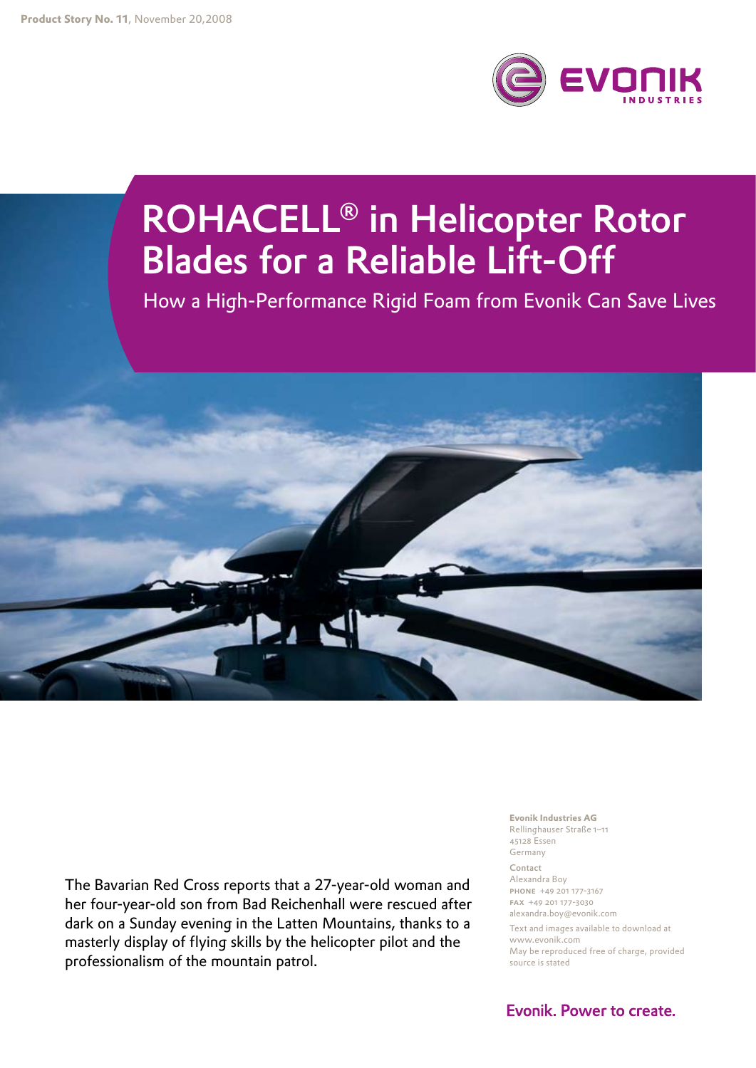

# ROHACELL<sup>®</sup> in Helicopter Rotor **Blades for a Reliable Lift-Off**

How a High-Performance Rigid Foam from Evonik Can Save Lives



The Bavarian Red Cross reports that a 27-year-old woman and her four-year-old son from Bad Reichenhall were rescued after dark on a Sunday evening in the Latten Mountains, thanks to a masterly display of flying skills by the helicopter pilot and the professionalism of the mountain patrol.

**Evonik Industries AG** Rellinghauser Straße 1-11 45128 Essen Germany Contact Alexandra Boy PHONE +49 201 177-3167 FAX +49 201 177-3030 alexandra.boy@evonik.com Text and images available to download at www.evonik.com May be reproduced free of charge, provided source is stated

Evonik. Power to create.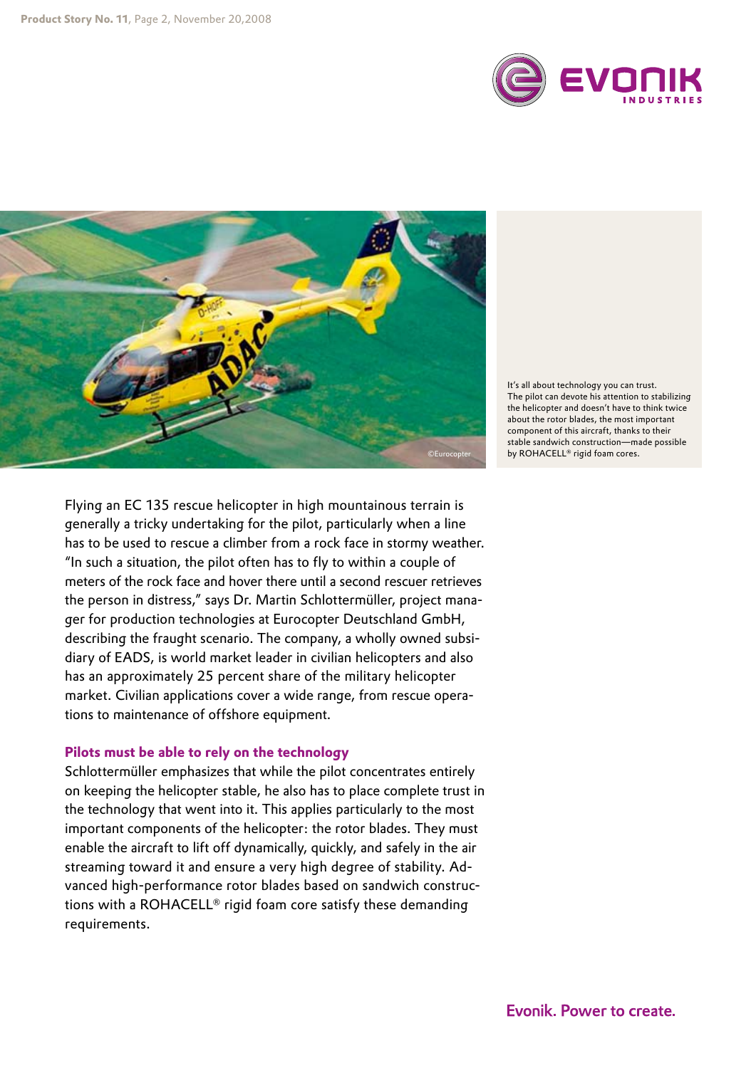



It's all about technology you can trust. The pilot can devote his attention to stabilizing the helicopter and doesn't have to think twice about the rotor blades, the most important component of this aircraft, thanks to their stable sandwich construction—made possible by ROHACELL® rigid foam cores.

Flying an EC 135 rescue helicopter in high mountainous terrain is generally a tricky undertaking for the pilot, particularly when a line has to be used to rescue a climber from a rock face in stormy weather. "In such a situation, the pilot often has to fly to within a couple of meters of the rock face and hover there until a second rescuer retrieves the person in distress," says Dr. Martin Schlottermüller, project manager for production technologies at Eurocopter Deutschland GmbH, describing the fraught scenario. The company, a wholly owned subsidiary of EADS, is world market leader in civilian helicopters and also has an approximately 25 percent share of the military helicopter market. Civilian applications cover a wide range, from rescue operations to maintenance of offshore equipment.

# **Pilots must be able to rely on the technology**

Schlottermüller emphasizes that while the pilot concentrates entirely on keeping the helicopter stable, he also has to place complete trust in the technology that went into it. This applies particularly to the most important components of the helicopter: the rotor blades. They must enable the aircraft to lift off dynamically, quickly, and safely in the air streaming toward it and ensure a very high degree of stability. Advanced high-performance rotor blades based on sandwich constructions with a ROHACELL® rigid foam core satisfy these demanding requirements.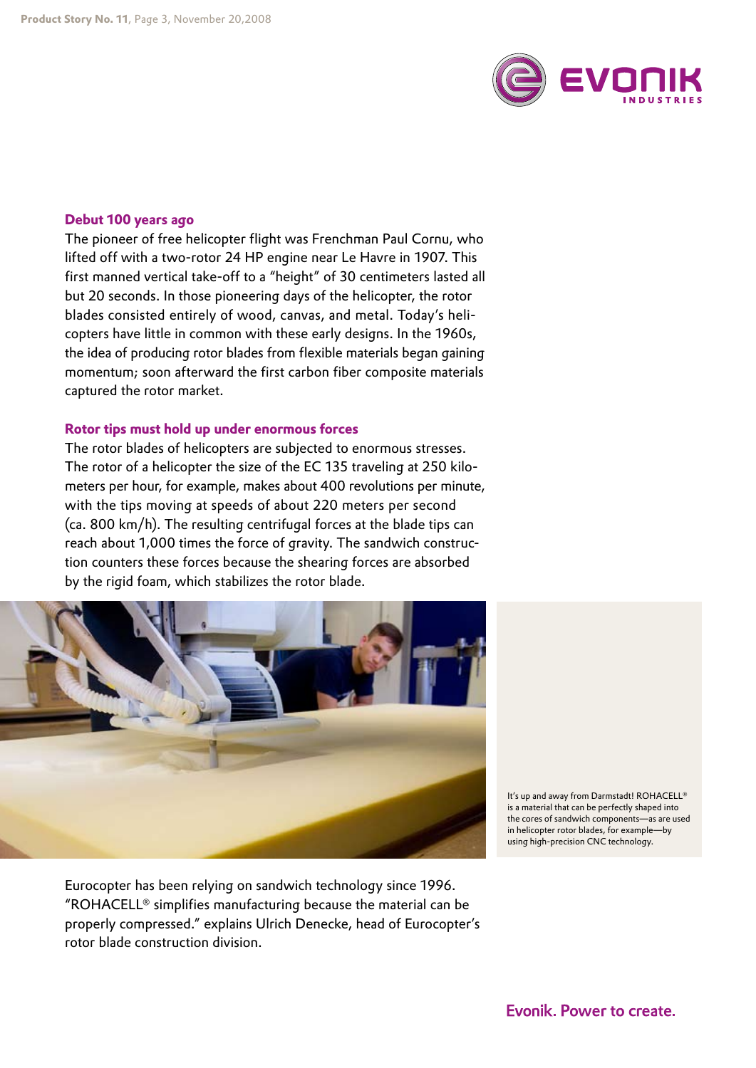

#### **Debut 100 years ago**

The pioneer of free helicopter flight was Frenchman Paul Cornu, who lifted off with a two-rotor 24 HP engine near Le Havre in 1907. This first manned vertical take-off to a "height" of 30 centimeters lasted all but 20 seconds. In those pioneering days of the helicopter, the rotor blades consisted entirely of wood, canvas, and metal. Today's helicopters have little in common with these early designs. In the 1960s, the idea of producing rotor blades from flexible materials began gaining momentum; soon afterward the first carbon fiber composite materials captured the rotor market.

#### **Rotor tips must hold up under enormous forces**

The rotor blades of helicopters are subjected to enormous stresses. The rotor of a helicopter the size of the EC 135 traveling at 250 kilometers per hour, for example, makes about 400 revolutions per minute, with the tips moving at speeds of about 220 meters per second (ca. 800 km/h). The resulting centrifugal forces at the blade tips can reach about 1,000 times the force of gravity. The sandwich construction counters these forces because the shearing forces are absorbed by the rigid foam, which stabilizes the rotor blade.



Eurocopter has been relying on sandwich technology since 1996. "ROHACELL® simplifies manufacturing because the material can be properly compressed." explains Ulrich Denecke, head of Eurocopter's rotor blade construction division.

It's up and away from Darmstadt! ROHACELL® is a material that can be perfectly shaped into the cores of sandwich components—as are used in helicopter rotor blades, for example—by using high-precision CNC technology.